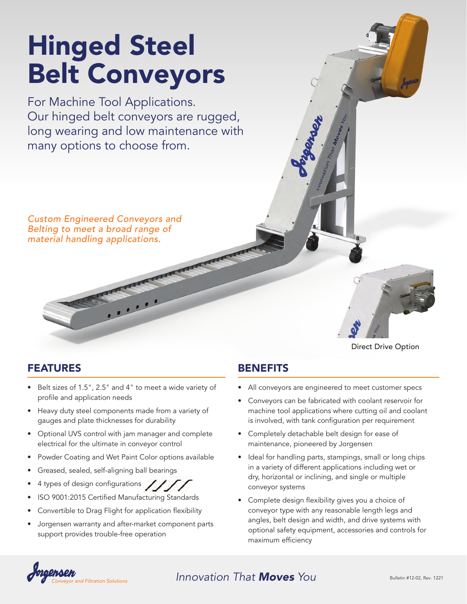# Hinged Steel Belt Conveyors

For Machine Tool Applications. Our hinged belt conveyors are rugged, long wearing and low maintenance with many options to choose from.

*Custom Engineered Conveyors and Belting to meet a broad range of material handling applications.*

# FEATURES

- Belt sizes of 1.5", 2.5" and 4" to meet a wide variety of profile and application needs
- Heavy duty steel components made from a variety of gauges and plate thicknesses for durability
- Optional UVS control with jam manager and complete electrical for the ultimate in conveyor control
- Powder Coating and Wet Paint Color options available
- Greased, sealed, self-aligning ball bearings
- 4 types of design configurations
- ISO 9001:2015 Certified Manufacturing Standards
- Convertible to Drag Flight for application flexibility
- Jorgensen warranty and after-market component parts support provides trouble-free operation

# Direct Drive Option

## **BENEFITS**

- All conveyors are engineered to meet customer specs
- Conveyors can be fabricated with coolant reservoir for machine tool applications where cutting oil and coolant is involved, with tank configuration per requirement
- Completely detachable belt design for ease of maintenance, pioneered by Jorgensen
- Ideal for handling parts, stampings, small or long chips in a variety of different applications including wet or dry, horizontal or inclining, and single or multiple conveyor systems
- Complete design flexibility gives you a choice of conveyor type with any reasonable length legs and angles, belt design and width, and drive systems with optional safety equipment, accessories and controls for maximum efficiency



# Bulletin #12-02, Rev. <sup>1221</sup> *Conveyor and Filtration Solutions Innovation That Moves You*